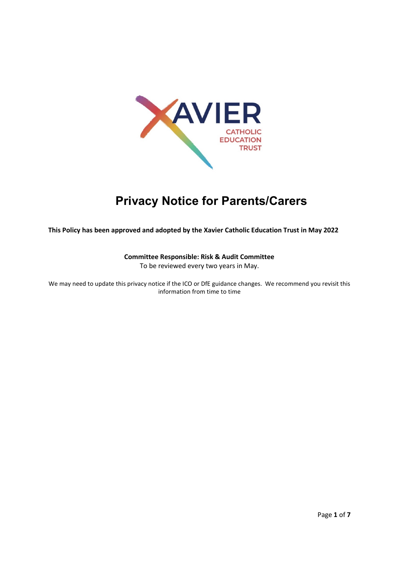

# **Privacy Notice for Parents/Carers**

**This Policy has been approved and adopted by the Xavier Catholic Education Trust in May 2022**

# **Committee Responsible: Risk & Audit Committee**

To be reviewed every two years in May.

We may need to update this privacy notice if the ICO or DfE guidance changes. We recommend you revisit this information from time to time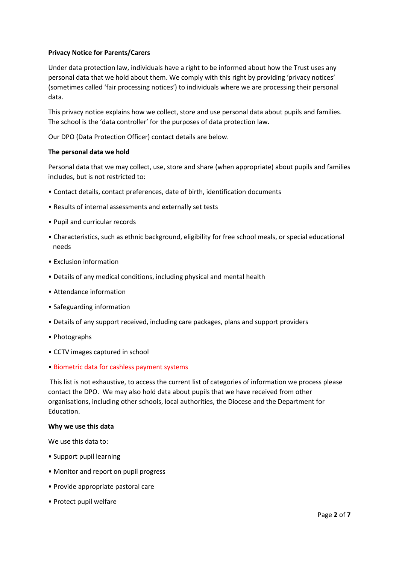# **Privacy Notice for Parents/Carers**

Under data protection law, individuals have a right to be informed about how the Trust uses any personal data that we hold about them. We comply with this right by providing 'privacy notices' (sometimes called 'fair processing notices') to individuals where we are processing their personal data.

This privacy notice explains how we collect, store and use personal data about pupils and families. The school is the 'data controller' for the purposes of data protection law.

Our DPO (Data Protection Officer) contact details are below.

## **The personal data we hold**

Personal data that we may collect, use, store and share (when appropriate) about pupils and families includes, but is not restricted to:

- Contact details, contact preferences, date of birth, identification documents
- Results of internal assessments and externally set tests
- Pupil and curricular records
- Characteristics, such as ethnic background, eligibility for free school meals, or special educational needs
- Exclusion information
- Details of any medical conditions, including physical and mental health
- Attendance information
- Safeguarding information
- Details of any support received, including care packages, plans and support providers
- Photographs
- CCTV images captured in school
- Biometric data for cashless payment systems

This list is not exhaustive, to access the current list of categories of information we process please contact the DPO. We may also hold data about pupils that we have received from other organisations, including other schools, local authorities, the Diocese and the Department for Education.

## **Why we use this data**

We use this data to:

- Support pupil learning
- Monitor and report on pupil progress
- Provide appropriate pastoral care
- Protect pupil welfare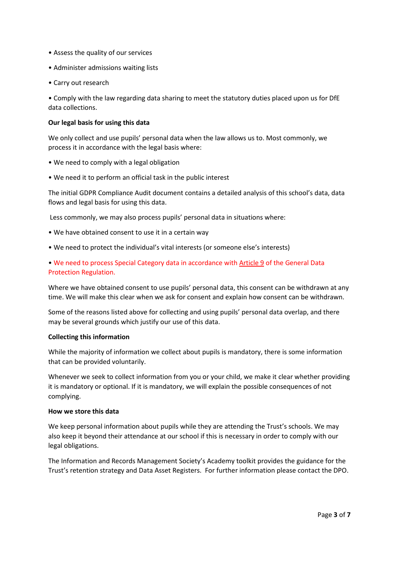- Assess the quality of our services
- Administer admissions waiting lists
- Carry out research

• Comply with the law regarding data sharing to meet the statutory duties placed upon us for DfE data collections.

## **Our legal basis for using this data**

We only collect and use pupils' personal data when the law allows us to. Most commonly, we process it in accordance with the legal basis where:

- We need to comply with a legal obligation
- We need it to perform an official task in the public interest

The initial GDPR Compliance Audit document contains a detailed analysis of this school's data, data flows and legal basis for using this data.

Less commonly, we may also process pupils' personal data in situations where:

- We have obtained consent to use it in a certain way
- We need to protect the individual's vital interests (or someone else's interests)

• We need to process Special Category data in accordance with [Article 9](https://ico.org.uk/for-organisations/guide-to-data-protection/guide-to-the-general-data-protection-regulation-gdpr/lawful-basis-for-processing/special-category-data/) of the General Data Protection Regulation.

Where we have obtained consent to use pupils' personal data, this consent can be withdrawn at any time. We will make this clear when we ask for consent and explain how consent can be withdrawn.

Some of the reasons listed above for collecting and using pupils' personal data overlap, and there may be several grounds which justify our use of this data.

## **Collecting this information**

While the majority of information we collect about pupils is mandatory, there is some information that can be provided voluntarily.

Whenever we seek to collect information from you or your child, we make it clear whether providing it is mandatory or optional. If it is mandatory, we will explain the possible consequences of not complying.

## **How we store this data**

We keep personal information about pupils while they are attending the Trust's schools. We may also keep it beyond their attendance at our school if this is necessary in order to comply with our legal obligations.

The Information and Records Management Society's Academy toolkit provides the guidance for the Trust's retention strategy and Data Asset Registers. For further information please contact the DPO.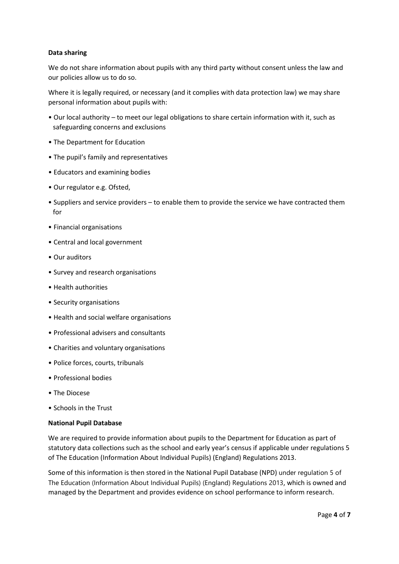# **Data sharing**

We do not share information about pupils with any third party without consent unless the law and our policies allow us to do so.

Where it is legally required, or necessary (and it complies with data protection law) we may share personal information about pupils with:

- Our local authority to meet our legal obligations to share certain information with it, such as safeguarding concerns and exclusions
- The Department for Education
- The pupil's family and representatives
- Educators and examining bodies
- Our regulator e.g. Ofsted,
- Suppliers and service providers to enable them to provide the service we have contracted them for
- Financial organisations
- Central and local government
- Our auditors
- Survey and research organisations
- Health authorities
- Security organisations
- Health and social welfare organisations
- Professional advisers and consultants
- Charities and voluntary organisations
- Police forces, courts, tribunals
- Professional bodies
- The Diocese
- Schools in the Trust

## **National Pupil Database**

We are required to provide information about pupils to the Department for Education as part of statutory data collections such as the school and early year's census if applicable under regulations 5 of The Education (Information About Individual Pupils) (England) Regulations 2013.

Some of this information is then stored in the National Pupil Database (NPD) under regulation 5 of The Education (Information About Individual Pupils) (England) Regulations 2013, which is owned and managed by the Department and provides evidence on school performance to inform research.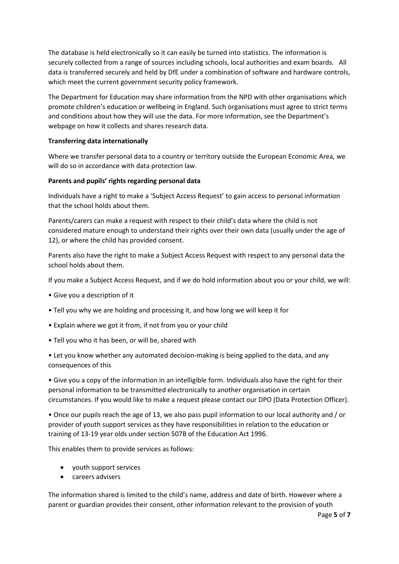The database is held electronically so it can easily be turned into statistics. The information is securely collected from a range of sources including schools, local authorities and exam boards. All data is transferred securely and held by DfE under a combination of software and hardware controls, which meet the current government security policy framework.

The Department for Education may share information from the NPD with other organisations which promote children's education or wellbeing in England. Such organisations must agree to strict terms and conditions about how they will use the data. For more information, see the Department's webpage on how it collects and shares research data.

## **Transferring data internationally**

Where we transfer personal data to a country or territory outside the European Economic Area, we will do so in accordance with data protection law.

## **Parents and pupils' rights regarding personal data**

Individuals have a right to make a 'Subject Access Request' to gain access to personal information that the school holds about them.

Parents/carers can make a request with respect to their child's data where the child is not considered mature enough to understand their rights over their own data (usually under the age of 12), or where the child has provided consent.

Parents also have the right to make a Subject Access Request with respect to any personal data the school holds about them.

If you make a Subject Access Request, and if we do hold information about you or your child, we will:

- Give you a description of it
- Tell you why we are holding and processing it, and how long we will keep it for
- Explain where we got it from, if not from you or your child
- Tell you who it has been, or will be, shared with

• Let you know whether any automated decision-making is being applied to the data, and any consequences of this

• Give you a copy of the information in an intelligible form. Individuals also have the right for their personal information to be transmitted electronically to another organisation in certain circumstances. If you would like to make a request please contact our DPO (Data Protection Officer).

• Once our pupils reach the age of 13, we also pass pupil information to our local authority and / or provider of youth support services as they have responsibilities in relation to the education or training of 13-19 year olds under section 507B of the Education Act 1996.

This enables them to provide services as follows:

- youth support services
- careers advisers

The information shared is limited to the child's name, address and date of birth. However where a parent or guardian provides their consent, other information relevant to the provision of youth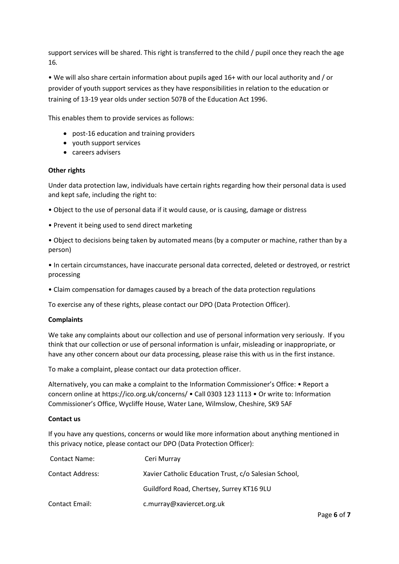support services will be shared. This right is transferred to the child / pupil once they reach the age 16*.*

• We will also share certain information about pupils aged 16+ with our local authority and / or provider of youth support services as they have responsibilities in relation to the education or training of 13-19 year olds under section 507B of the Education Act 1996.

This enables them to provide services as follows:

- post-16 education and training providers
- youth support services
- careers advisers

## **Other rights**

Under data protection law, individuals have certain rights regarding how their personal data is used and kept safe, including the right to:

- Object to the use of personal data if it would cause, or is causing, damage or distress
- Prevent it being used to send direct marketing
- Object to decisions being taken by automated means (by a computer or machine, rather than by a person)

• In certain circumstances, have inaccurate personal data corrected, deleted or destroyed, or restrict processing

• Claim compensation for damages caused by a breach of the data protection regulations

To exercise any of these rights, please contact our DPO (Data Protection Officer).

## **Complaints**

We take any complaints about our collection and use of personal information very seriously. If you think that our collection or use of personal information is unfair, misleading or inappropriate, or have any other concern about our data processing, please raise this with us in the first instance.

To make a complaint, please contact our data protection officer.

Alternatively, you can make a complaint to the Information Commissioner's Office: • Report a concern online at https://ico.org.uk/concerns/ • Call 0303 123 1113 • Or write to: Information Commissioner's Office, Wycliffe House, Water Lane, Wilmslow, Cheshire, SK9 5AF

## **Contact us**

If you have any questions, concerns or would like more information about anything mentioned in this privacy notice, please contact our DPO (Data Protection Officer):

| <b>Contact Name:</b>    | Ceri Murray                                           |
|-------------------------|-------------------------------------------------------|
| <b>Contact Address:</b> | Xavier Catholic Education Trust, c/o Salesian School, |
|                         | Guildford Road, Chertsey, Surrey KT16 9LU             |
| <b>Contact Email:</b>   | c.murray@xaviercet.org.uk                             |